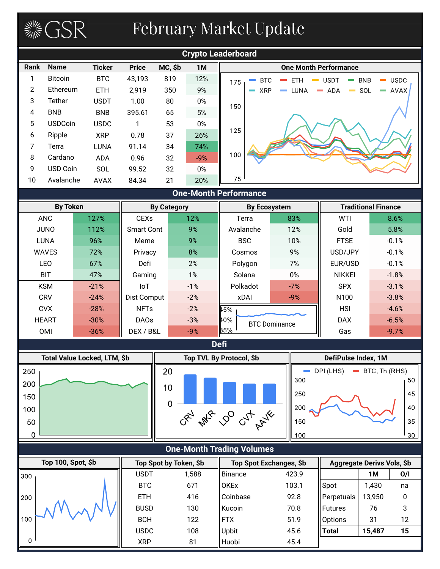# February Market Update

**SOFT STARE** 



| By Token     |        |                   | <b>By Category</b> | <b>By Ecosystem</b> |                      |                  | <b>Traditional Finance</b> |
|--------------|--------|-------------------|--------------------|---------------------|----------------------|------------------|----------------------------|
| <b>ANC</b>   | 127%   | <b>CEXs</b>       | 12%                | Terra               | 83%                  | WTI              | 8.6%                       |
| <b>JUNO</b>  | 112%   | <b>Smart Cont</b> | 9%                 | Avalanche           | 12%                  | Gold             | 5.8%                       |
| <b>LUNA</b>  | 96%    | Meme              | 9%                 | <b>BSC</b>          | 10%                  | <b>FTSE</b>      | $-0.1%$                    |
| <b>WAVES</b> | 72%    | Privacy           | 8%                 | Cosmos              | 9%                   | USD/JPY          | $-0.1%$                    |
| <b>LEO</b>   | 67%    | Defi              | 2%                 | Polygon             | 7%                   | EUR/USD          | $-0.1%$                    |
| <b>BIT</b>   | 47%    | Gaming            | 1%                 | Solana              | $0\%$                | <b>NIKKEI</b>    | $-1.8%$                    |
| <b>KSM</b>   | $-21%$ | loT               | $-1%$              | Polkadot            | $-7%$                | <b>SPX</b>       | $-3.1%$                    |
| <b>CRV</b>   | $-24%$ | Dist Comput       | $-2%$              | xDAI                | $-9%$                | N <sub>100</sub> | $-3.8%$                    |
| <b>CVX</b>   | $-28%$ | <b>NFTs</b>       | $-2%$              | 145%                |                      | <b>HSI</b>       | $-4.6%$                    |
| <b>HEART</b> | $-30%$ | DAO <sub>s</sub>  | $-3%$              | 140%                | <b>BTC Dominance</b> | <b>DAX</b>       | $-6.5%$                    |
| <b>OMI</b>   | $-36%$ | DEX / B&L         | $-9%$              | 35%                 |                      | Gas              | $-9.7%$                    |

![](_page_0_Figure_3.jpeg)

![](_page_0_Figure_4.jpeg)

| 300 | <b>USDT</b> | 1,588 | Binance     | 423.9 |                   | 1M     | O/I |
|-----|-------------|-------|-------------|-------|-------------------|--------|-----|
|     | <b>BTC</b>  | 671   | <b>OKEx</b> | 103.1 | Spot              | 1,430  | na  |
| 200 | <b>ETH</b>  | 416   | Coinbase    | 92.8  | <b>Perpetuals</b> | 13,950 | 0   |
|     | <b>BUSD</b> | 130   | Kucoin      | 70.8  | <b>I</b> Futures  | 76     | 3   |
| 100 | <b>BCH</b>  | 122   | <b>FTX</b>  | 51.9  | Options           | 31     | 12  |
|     | <b>USDC</b> | 108   | Upbit       | 45.6  | <b>Total</b>      | 15,487 | 15  |
| 0   | <b>XRP</b>  | 81    | Huobi       | 45.4  |                   |        |     |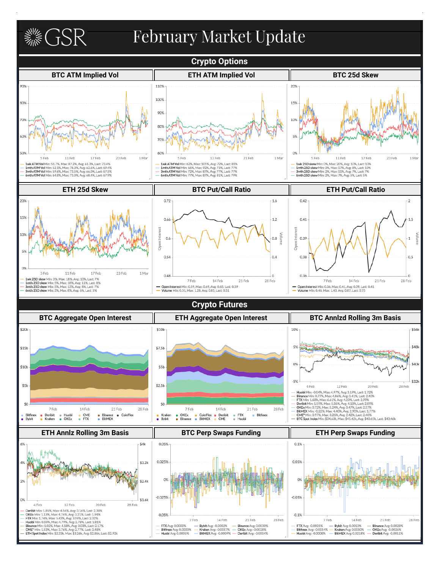**《《SR》 February Market Update Crypto Options BTC ATM Implied Vol ETH ATM Implied Vol BTC 25d Skew** 90% 110% 20% 100% 80% 15% 90% 10% 80% 5% 70% 60% 0% 17 Feb 1 Mar 1 Mar 5 Feb 17 Feb 1 Mar 5 Feb 11 Feb 23 Feb 5 Feb 13 Feb 21 Feb 11 Feb 23 Feb  $\label{eq:1} \textbf{1wk 25D skew Min:} \textbf{0}\% , \textbf{Max: } 20\%, \textbf{Avg: } 10\%, \textbf{Last: } 10\% \\ \textbf{1mth 25D skew Mir: } 0\% , \textbf{Max: } 17\%, \textbf{Avg: } 5\% , \textbf{List: } 10\% \\ \textbf{3mth 25D skew Mir: } 2\% , \textbf{Max: } 11\%, \textbf{Avg: } 7\% , \textbf{last: } 7\% \\ \textbf{4mth 25D skew Mir: } 2\%, \textbf{Max: } 7\% , \textbf{Avg: } 5\$ 1wk ATM Vol Min: 51.7%, Max: 87.2%, Avg: 61.3%, Last: 73.4% 1wk ATM Vol Min: 62%, Max: 105%, Avg: 72%, Last: 81% 1mth ATM Vol Min: 52.1%, Max: 78.3%, Avg: 62.6%, Last: 69.4%<br>3mth ATM Vol Min: 59.6%, Max: 78.3%, Avg: 62.6%, Last: 67.5%<br>6mth ATM Vol Min: 64.8%, Max: 73.0%, Avg: 66.9%, Last: 67.9% 1 Imth ATM Vol Min: 66%, Max: 92%, Avg: 73%, Last: 77%<br>3 Smth ATM Vol Min: 72%, Max: 87%, Avg: 77%, Last: 77%<br>6 Mth ATM Vol Min: 77%, Max: 87%, Avg: 81%, Last: 79% **ETH 25d Skew BTC Put/Call Ratio ETH Put/Call Ratio**  $20%$ 0.72  $1.6$  $0.42$ 15% 0.66  $1.2$  $0.41$  $1.5$ tã Inter Inter  $-0.8$   $\frac{5}{5}$  $0.6$ 0.39 Open Open 0.54  $0.4$ 0.38  $0.5$ OS. 5 Feb  $11\,\mathrm{Feb}$ 17 Feb 23 Feb 1 Mar 0.48  $\overline{0}$ 0.36  $\overline{0}$ **1wk 25D skew** Min: 3%, Max: 18%, Avg: 10%, Last: 7%<br>**1mth 25D skew** Min: 5%, Max: 18%, Avg: 11%, Last: 89<br>**3mth 25D skew** Min: 5%, Max: 13%, Avg: 8%, Last: 7%<br>**6mth 25D skew** Min: 3%, Max: 8%, Avg: 6%, Last: 5%  $28$  Feb 28 Feb 7 Feb 14 Feb 21 Feb 7 Feb 14 Feb 21 Feb Open Interest Min: 0.59, Max: 0.69, Avg: 0.65, Last: 0.59<br>Volume Min: 0.51, Max: 1.28, Avg: 0.85, Last: 0.51 - Open Interest Min: 0.36, Max: 0.41, Avg: 0.39, Last: 0.41<br>- Volume Min: 0.46, Max: 1.43, Avg: 0.87, Last: 0.75 Ξ **Crypto Futures BTC Aggregate Open Interest ETH Aggregate Open Interest BTC Annlzd Rolling 3m Basis** \$20b \$10b 10% \$56 \$481  $$15<sub>b</sub>$ 5%  $$7.5<sub>b</sub>$  $0%$  $$40$  $$10<sub>b</sub>$  $$5h$  $-5%$ \$32k  $$2.5<sub>b</sub>$  $$5<sub>b</sub>$ 4 Feb 12 Feb 20 Feb 28 Feb 4 Hen<br>
Hubbi Min: 0.04%, Max 4.86%, Ayg: 3.19%, Last: 1.72%<br>
Binance Min: 0.77%, Max 4.86%, Ayg: 3.19%, Last: 2.40%<br>
FITM Min: 1.68%, Max 6.86%, Ayg: 3.41%, Last: 2.40%<br>
Deribit Min: 1.59%, Max 5.86%, Ayg: 4.12%, Last: 2.8 \$0 \$0

## **ETH Annlz Rolling 3m Basis BTC Perp Swaps Funding ETH Perp Swaps Funding**

28 Feb

● Krake<br>● Bybit

21 Feb

Binance<br>BitMEX

 $\bullet$  CoinFlex

7 Feb

● Huobi<br>● OKEx

Deribit<br>Kraken

÷ Bybit 14 Feb

 $\bullet$  CME

14 Feb

• Deribit<br>• CME

21 Feb

**FTX** 

e FTX<br>e Huobi

 $\bullet$  Bitfinex

28 Fel

7 Feb

• CoinFiex

OKEx<br>Binance

![](_page_1_Figure_3.jpeg)